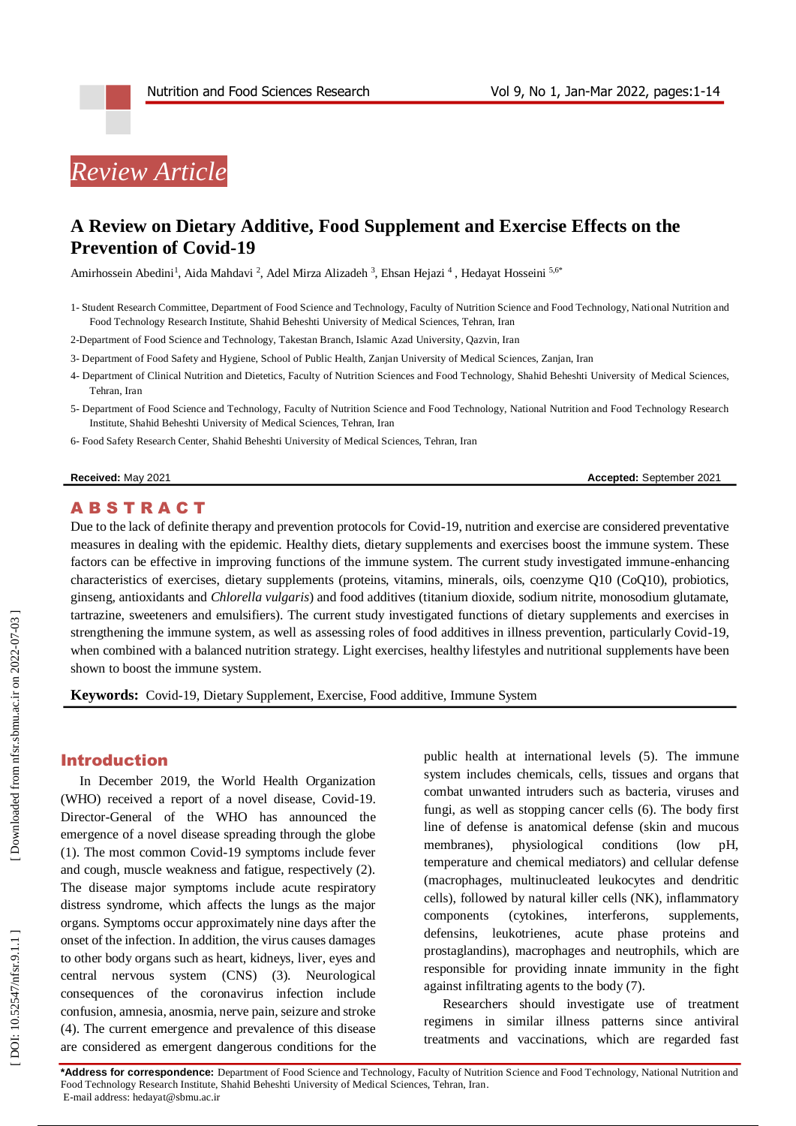

## **A Review on Dietary Additive, Food Supplement and Exercise Effects on the Prevention of Covid -19**

Amirhossein Abedini<sup>1</sup>, Aida Mahdavi<sup>2</sup>, Adel Mirza Alizadeh<sup>3</sup>, Ehsan Hejazi<sup>4</sup>, Hedayat Hosseini<sup>5,6\*</sup>

1 - Student Research Committee, Department of Food Science and Technology, Faculty of Nutrition Science and Food Technology, National Nutrition and Food Technology Research Institute, Shahid Beheshti University of Medical Sciences, Tehran, Iran

2 -Department of Food Science and Technology, Takestan Branch, Islamic Azad University, Qazvin, Iran

- 3 Department of Food Safety and Hygiene, School of Public Health, Zanjan University of Medical Sciences, Zanjan, Iran
- 4 Department of Clinical Nutrition and Dietetics, Faculty of Nutrition Sciences and Food Technology, Shahid Beheshti University of Medical Sciences, Tehran, Iran
- 5 Department of Food Science and Technology, Faculty of Nutrition Science and Food Technology, National Nutrition and Food Technology Research Institute, Shahid Beheshti University of Medical Sciences, Tehran, Iran
- 6 Food Safety Research Center, Shahid Beheshti University of Medical Sciences, Tehran, Iran

#### **Received:** May 20 2

1 **Accepted:** September 2021

## **ABSTRACT**

Due to the lack of definite therapy and prevention protocols for Covid -19, nutrition and exercise are considered preventative measures in dealing with the epidemic. Healthy diets, dietary supplements and exercises boost the immune system. These factors can be effective in improving functions of the immune system. The current study investigated immune-enhancing characteristics of exercises, dietary supplements (proteins, vitamins, minerals, oils, coenzyme Q10 (CoQ10), probiotics, ginseng, antioxidants and *Chlorella vulgaris*) and food additives (titanium dioxide, sodium nitrite, monosodium glutamate, tartrazine, sweeteners and emulsifiers). The current study investigated functions of dietary supplements and exercises in strengthening the immune system, as well as assessing roles of food additives in illness prevention, particularly Covid -19, when combined with a balanced nutrition strategy. Light exercises, healthy lifestyles and nutritional supplements have been shown to boost the immune system.

**Keywords:** Covid -19, Dietary Supplement, Exercise, Food additive, Immune System

### Introduction

In December 2019, the World Health Organization (WHO) received a report of a novel disease, Covid -19. Director -General of the WHO has announced the emergence of a novel disease spreading through the globe (1). The most common Covid -19 symptoms include fever and cough, muscle weakness and fatigue, respectively (2). The disease major symptoms include acute respiratory distress syndrome, which affects the lungs as the major organs. Symptoms occur approximately nine days after the onset of the infection. In addition, the virus causes damages to other body organs such as heart, kidneys, liver, eyes and central nervous system (CNS) (3). Neurological consequences of the coronavirus infection include confusion, amnesia, anosmia, nerve pain, seizure and stroke (4). The current emergence and prevalence of this disease are considered as emergent dangerous conditions for the

public health at international levels (5). The immune system includes chemicals, cells, tissues and organs that combat unwanted intruders such as bacteria, viruses and fungi, as well as stopping cancer cells (6). The body first line of defense is anatomical defense (skin and mucous membranes), physiological conditions (low pH, temperature and chemical mediators) and cellular defense (macrophages, multinucleated leukocytes and dendritic cells), followed by natural killer cells (NK), inflammatory components (cytokines, interferons, supplements, defensins, leukotrienes, acute phase proteins and prostaglandins), macrophages and neutrophils, which are responsible for providing innate immunity in the fight against infiltrating agents to the body (7).

Researchers should investigate use of treatment regimens in similar illness patterns since antiviral treatments and vaccinations, which are regarded fast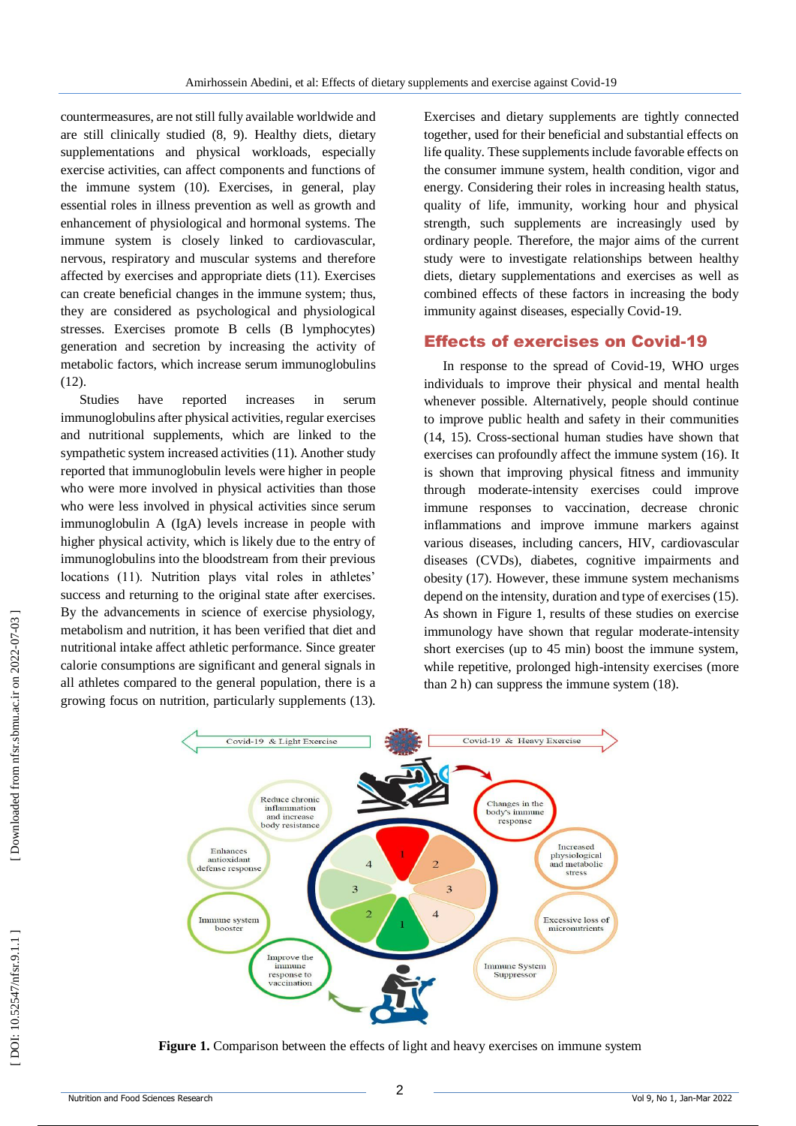countermeasures, are not still fully available worldwide and are still clinically studied (8, 9). Healthy diets, dietary supplementations and physical workloads, especially exercise activities, can affect components and functions of the immune system (10). Exercises, in general, play essential roles in illness prevention as well as growth and enhancement of physiological and hormonal systems. The immune system is closely linked to cardiovascular, nervous, respiratory and muscular systems and therefore affected by exercises and appropriate diets (11). Exercises can create beneficial changes in the immune system; thus, they are considered as psychological and physiological stresses. Exercises promote B cells (B lymphocytes) generation and secretion by increasing the activity of metabolic factors, which increase serum immunoglobulins (12).

Studies have reported increases in serum immunoglobulins after physical activities, regular exercises and nutritional supplements, which are linked to the sympathetic system increased activities (11). Another study reported that immunoglobulin levels were higher in people who were more involved in physical activities than those who were less involved in physical activities since serum immunoglobulin A (IgA) levels increase in people with higher physical activity, which is likely due to the entry of immunoglobulins into the bloodstream from their previous locations (11). Nutrition plays vital roles in athletes' success and returning to the original state after exercises. By the advancements in science of exercise physiology, metabolism and nutrition, it has been verified that diet and nutritional intake affect athletic performance. Since greater calorie consumptions are significant and general signals in all athletes compared to the general population, there is a growing focus on nutrition, particularly supplements (13).

Exercises and dietary supplements are tightly connected together, used for their beneficial and substantial effects on life quality. These supplements include favorable effects on the consumer immune system, health condition, vigor and energy. Considering their roles in increasing health status, quality of life, immunity, working hour and physical strength, such supplements are increasingly used by ordinary people. Therefore, the major aims of the current study were to investigate relationships between healthy diets, dietary supplementations and exercises as well as combined effects of these factors in increasing the body immunity against diseases, especially Covid -19.

## Effects of exercises on Covid -19

In response to the spread of Covid -19, WHO urges individuals to improve their physical and mental health whenever possible. Alternatively, people should continue to improve public health and safety in their communities (14, 15). Cross -sectional human studies have shown that exercises can profoundly affect the immune system (16). It is shown that improving physical fitness and immunity through moderate -intensity exercises could improve immune responses to vaccination, decrease chronic inflammations and improve immune markers against various diseases, including cancers, HIV, cardiovascular diseases (CVDs), diabetes, cognitive impairments and obesity (17). However, these immune system mechanisms depend on the intensity, duration and type of exercises (15). As shown in Figure 1, results of these studies on exercise immunology have shown that regular moderate-intensity short exercises (up to 45 min) boost the immune system, while repetitive, prolonged high -intensity exercises (more than 2 h) can suppress the immune system (18).



**Figure 1.** Comparison between the effects of light and heavy exercises on immune system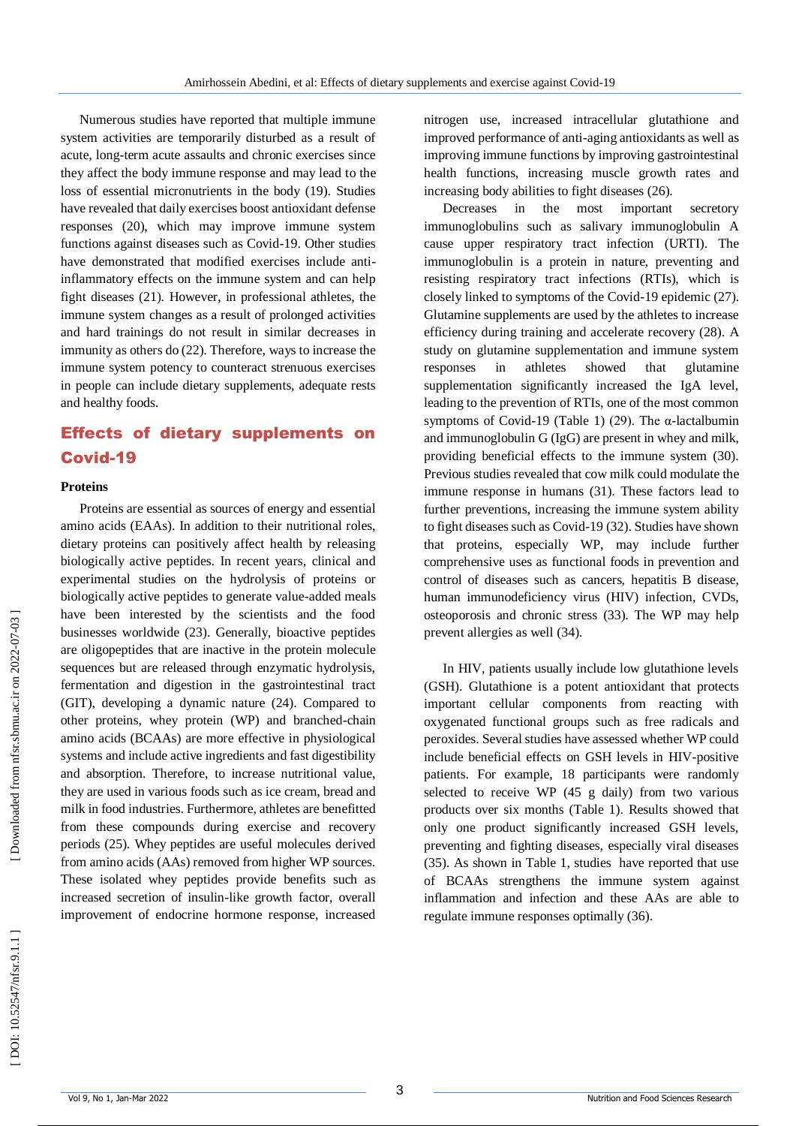Numerous studies have reported that multiple immune system activities are temporarily disturbed as a result of acute, long -term acute assaults and chronic exercises since they affect the body immune response and may lead to the loss of essential micronutrients in the body (19). Studies have revealed that daily exercises boost antioxidant defense responses (20), which may improve immune system functions against diseases such as Covid -19. Other studies have demonstrated that modified exercises include anti inflammatory effects on the immune system and can help fight diseases (21). However, in professional athletes, the immune system changes as a result of prolonged activities and hard trainings do not result in similar decreases in immunity as others do (22). Therefore, ways to increase the immune system potency to counteract strenuous exercises in people can include dietary supplements, adequate rests and healthy foods.

# Effects of dietary supplements on Covid -19

#### **Proteins**

Proteins are essential as sources of energy and essential amino acids (EAAs). In addition to their nutritional roles, dietary proteins can positively affect health by releasing biologically active peptides. In recent years, clinical and experimental studies on the hydrolysis of proteins or biologically active peptides to generate value -added meals have been interested by the scientists and the food businesses worldwide (23). Generally, bioactive peptides are oligopeptides that are inactive in the protein molecule sequences but are released through enzymatic hydrolysis, fermentation and digestion in the gastrointestinal tract (GIT), developing a dynamic nature (24). Compared to other proteins, whey protein (WP) and branched -chain amino acids (BCAAs) are more effective in physiological systems and include active ingredients and fast digestibility and absorption. Therefore, to increase nutritional value, they are used in various foods such as ice cream, bread and milk in food industries. Furthermore, athletes are benefitted from these compounds during exercise and recovery periods (25). Whey peptides are useful molecules derived from amino acids (AAs) removed from higher WP sources. These isolated whey peptides provide benefits such as increased secretion of insulin -like growth factor, overall improvement of endocrine hormone response, increased

nitrogen use, increased intracellular glutathione and improved performance of anti -aging antioxidants as well as improving immune functions by improving gastrointestinal health functions, increasing muscle growth rates and increasing body abilities to fight diseases (26).

Decreases in the most important secretory immunoglobulins such as salivary immunoglobulin A cause upper respiratory tract infection (URTI). The immunoglobulin is a protein in nature, preventing and resisting respiratory tract infections (RTIs), which is closely linked to symptoms of the Covid -19 epidemic (27). Glutamine supplements are used by the athletes to increase efficiency during training and accelerate recovery (28). A study on glutamine supplementation and immune system responses in athletes showed that glutamine supplementation significantly increased the IgA level, leading to the prevention of RTIs, one of the most common symptoms of Covid-19 (Table 1) (29). The  $\alpha$ -lactalbumin and immunoglobulin G (IgG) are present in whey and milk, providing beneficial effects to the immune system (30). Previous studies revealed that cow milk could modulate the immune response in humans (31). These factors lead to further preventions, increasing the immune system ability to fight diseases such as Covid -19 (32). Studies have shown that proteins, especially WP, may include further comprehensive uses as functional foods in prevention and control of diseases such as cancers, hepatitis B disease, human immunodeficiency virus (HIV) infection, CVDs, osteoporosis and chronic stress (33). The WP may help prevent allergies as well (34).

In HIV, patients usually include low glutathione levels (GSH). Glutathione is a potent antioxidant that protects important cellular components from reacting with oxygenated functional groups such as free radicals and peroxides. Several studies have assessed whether WP could include beneficial effects on GSH levels in HIV -positive patients. For example, 18 participants were randomly selected to receive WP (45 g daily) from two various products over six months (Table 1). Results showed that only one product significantly increased GSH levels, preventing and fighting diseases, especially viral diseases (35). As shown in Table 1, studies have reported that use of BCAAs strengthens the immune system against inflammation and infection and these AAs are able to regulate immune responses optimally (36).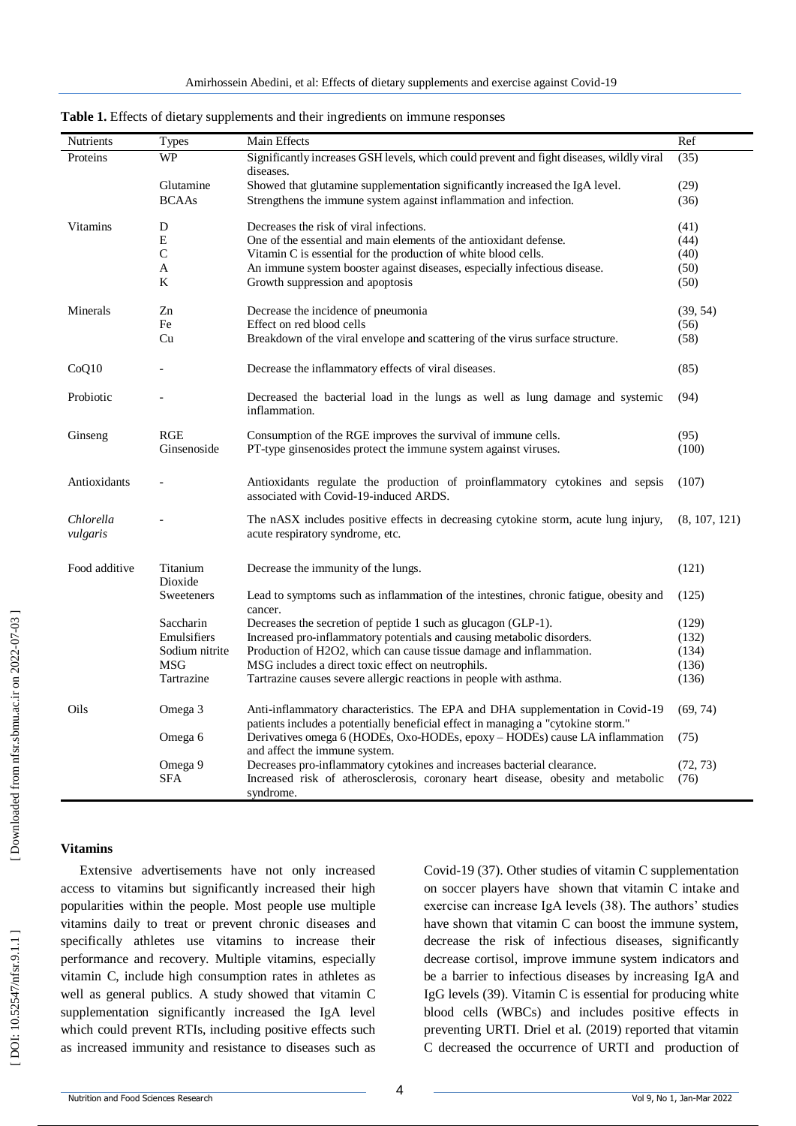| Nutrients             | <b>Types</b>        | Main Effects                                                                                                                                                        | Ref           |
|-----------------------|---------------------|---------------------------------------------------------------------------------------------------------------------------------------------------------------------|---------------|
| Proteins              | <b>WP</b>           | Significantly increases GSH levels, which could prevent and fight diseases, wildly viral<br>diseases.                                                               | (35)          |
|                       | Glutamine           | Showed that glutamine supplementation significantly increased the IgA level.                                                                                        | (29)          |
|                       | <b>BCAAs</b>        | Strengthens the immune system against inflammation and infection.                                                                                                   | (36)          |
| Vitamins              | D                   | Decreases the risk of viral infections.                                                                                                                             | (41)          |
|                       | E                   | One of the essential and main elements of the antioxidant defense.                                                                                                  | (44)          |
|                       | C                   | Vitamin C is essential for the production of white blood cells.                                                                                                     | (40)          |
|                       | A                   | An immune system booster against diseases, especially infectious disease.                                                                                           | (50)          |
|                       | K                   | Growth suppression and apoptosis                                                                                                                                    | (50)          |
| Minerals              | Zn                  | Decrease the incidence of pneumonia                                                                                                                                 | (39, 54)      |
|                       | Fe                  | Effect on red blood cells                                                                                                                                           | (56)          |
|                       | Cu                  | Breakdown of the viral envelope and scattering of the virus surface structure.                                                                                      | (58)          |
| CoQ10                 |                     | Decrease the inflammatory effects of viral diseases.                                                                                                                | (85)          |
| Probiotic             |                     | Decreased the bacterial load in the lungs as well as lung damage and systemic<br>inflammation.                                                                      | (94)          |
| Ginseng               | <b>RGE</b>          | Consumption of the RGE improves the survival of immune cells.                                                                                                       | (95)          |
|                       | Ginsenoside         | PT-type ginsenosides protect the immune system against viruses.                                                                                                     | (100)         |
| Antioxidants          |                     | Antioxidants regulate the production of proinflammatory cytokines and sepsis<br>associated with Covid-19-induced ARDS.                                              | (107)         |
| Chlorella<br>vulgaris |                     | The nASX includes positive effects in decreasing cytokine storm, acute lung injury,<br>acute respiratory syndrome, etc.                                             | (8, 107, 121) |
| Food additive         | Titanium<br>Dioxide | Decrease the immunity of the lungs.                                                                                                                                 | (121)         |
|                       | Sweeteners          | Lead to symptoms such as inflammation of the intestines, chronic fatigue, obesity and<br>cancer.                                                                    | (125)         |
|                       | Saccharin           | Decreases the secretion of peptide 1 such as glucagon (GLP-1).                                                                                                      | (129)         |
|                       | Emulsifiers         | Increased pro-inflammatory potentials and causing metabolic disorders.                                                                                              | (132)         |
|                       | Sodium nitrite      | Production of H2O2, which can cause tissue damage and inflammation.                                                                                                 | (134)         |
|                       | <b>MSG</b>          | MSG includes a direct toxic effect on neutrophils.                                                                                                                  | (136)         |
|                       | Tartrazine          | Tartrazine causes severe allergic reactions in people with asthma.                                                                                                  | (136)         |
| Oils                  | Omega 3             | Anti-inflammatory characteristics. The EPA and DHA supplementation in Covid-19<br>patients includes a potentially beneficial effect in managing a "cytokine storm." | (69, 74)      |
|                       | Omega 6             | Derivatives omega 6 (HODEs, Oxo-HODEs, epoxy - HODEs) cause LA inflammation<br>and affect the immune system.                                                        | (75)          |
|                       | Omega 9             | Decreases pro-inflammatory cytokines and increases bacterial clearance.                                                                                             | (72, 73)      |
|                       | <b>SFA</b>          | Increased risk of atherosclerosis, coronary heart disease, obesity and metabolic<br>syndrome.                                                                       | (76)          |

**Table 1.** Effects of dietary supplements and their ingredients on immune responses

Extensive advertisements have not only increased access to vitamins but significantly increased their high popularities within the people. Most people use multiple vitamins daily to treat or prevent chronic diseases and specifically athletes use vitamins to increase their performance and recovery. Multiple vitamins, especially vitamin C, include high consumption rates in athletes as well as general publics. A study showed that vitamin C supplementation significantly increased the IgA level which could prevent RTIs, including positive effects such as increased immunity and resistance to diseases such as

Covid -19 (37). Other studies of vitamin C supplementation on soccer players have shown that vitamin C intake and exercise can increase IgA levels (38). The authors' studies have shown that vitamin C can boost the immune system, decrease the risk of infectious diseases, significantly decrease cortisol, improve immune system indicators and be a barrier to infectious diseases by increasing IgA and IgG levels (39). Vitamin C is essential for producing white blood cells (WBCs) and includes positive effects in preventing URTI. Driel et al. (2019) reported that vitamin C decreased the occurrence of URTI and production of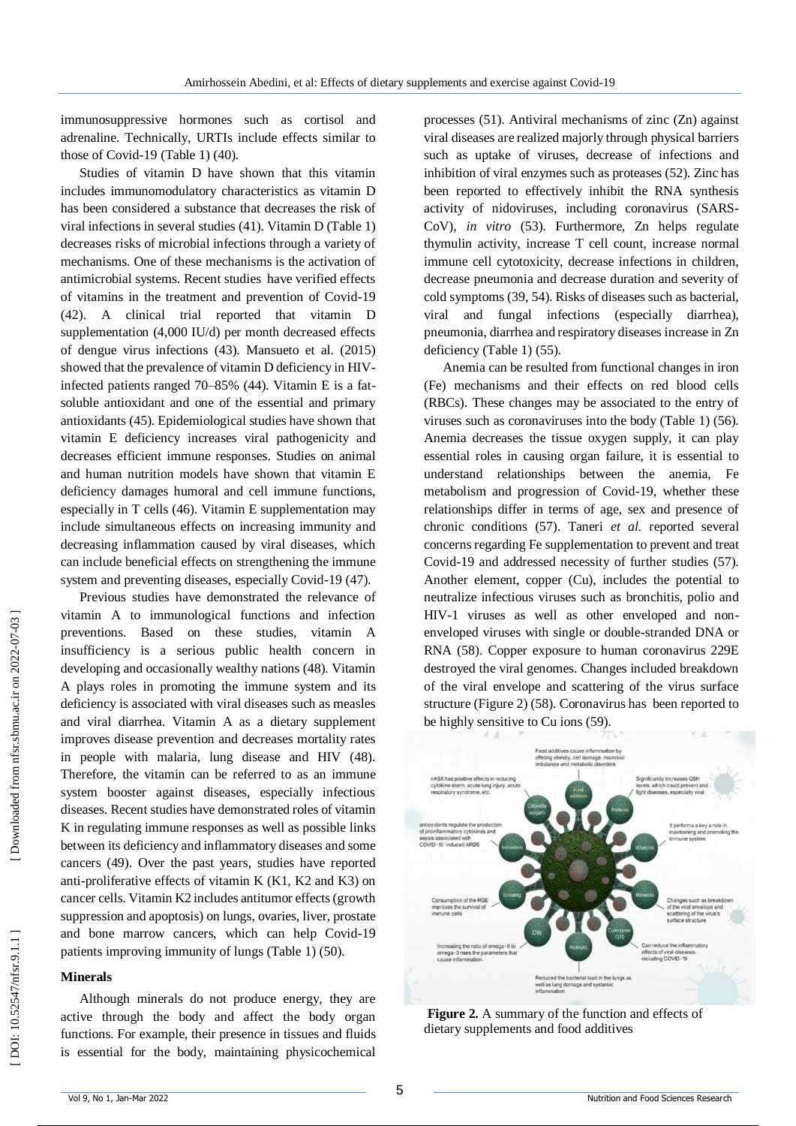immunosuppressive hormones such as cortisol and adrenaline. Technically, URTIs include effects similar to those of Covid -19 (Table 1) (40).

Studies of vitamin D have shown that this vitamin includes immunomodulatory characteristics as vitamin D has been considered a substance that decreases the risk of viral infections in several studies (41). Vitamin D (Table 1) decreases risks of microbial infections through a variety of mechanisms. One of these mechanisms is the activation of antimicrobial systems. Recent studies have verified effects of vitamins in the treatment and prevention of Covid -19 (42). A clinical trial reported that vitamin D supplementation (4,000 IU/d) per month decreased effects of dengue virus infections (43). Mansueto et al. (2015) showed that the prevalence of vitamin D deficiency in HIV infected patients ranged 70 –85% (44). Vitamin E is a fat soluble antioxidant and one of the essential and primary antioxidants (45). Epidemiological studies have shown that vitamin E deficiency increases viral pathogenicity and decreases efficient immune responses. Studies on animal and human nutrition models have shown that vitamin E deficiency damages humoral and cell immune functions, especially in T cells (46). Vitamin E supplementation may include simultaneous effects on increasing immunity and decreasing inflammation caused by viral diseases, which can include beneficial effects on strengthening the immune system and preventing diseases, especially Covid-19 (47).

Previous studies have demonstrated the relevance of vitamin A to immunological functions and infection preventions. Based on these studies, vitamin A insufficiency is a serious public health concern in developing and occasionally wealthy nations (48). Vitamin A plays roles in promoting the immune system and its deficiency is associated with viral diseases such as measles and viral diarrhea. Vitamin A as a dietary supplement improves disease prevention and decreases mortality rates in people with malaria, lung disease and HIV (48). Therefore, the vitamin can be referred to as an immune system booster against diseases, especially infectious diseases. Recent studies have demonstrated roles of vitamin K in regulating immune responses as well as possible links between its deficiency and inflammatory diseases and some cancers (49). Over the past years, studies have reported anti -proliferative effects of vitamin K (K1, K2 and K3) on cancer cells. Vitamin K2 includes antitumor effects (growth suppression and apoptosis) on lungs, ovaries, liver, prostate and bone marrow cancers, which can help Covid -19 patients improving immunity of lungs (Table 1) (50).

#### **Minerals**

Although minerals do not produce energy, they are active through the body and affect the body organ functions. For example, their presence in tissues and fluids is essential for the body, maintaining physicochemical

processes (51). Antiviral mechanisms of zinc (Zn) against viral diseases are realized majorly through physical barriers such as uptake of viruses, decrease of infections and inhibition of viral enzymes such as proteases (52). Zinc has been reported to effectively inhibit the RNA synthesis activity of nidoviruses, including coronavirus (SARS - CoV), *in vitro* (53). Furthermore, Zn helps regulate thymulin activity, increase T cell count, increase normal immune cell cytotoxicity, decrease infections in children, decrease pneumonia and decrease duration and severity of cold symptoms (39, 54). Risks of diseases such as bacterial, viral and fungal infections (especially diarrhea), pneumonia, diarrhea and respiratory diseases increase in Zn deficiency (Table 1) (55).

Anemia can be resulted from functional changes in iron (Fe) mechanisms and their effects on red blood cells (RBCs). These changes may be associated to the entry of viruses such as coronaviruses into the body (Table 1) (56). Anemia decreases the tissue oxygen supply, it can play essential roles in causing organ failure, it is essential to understand relationships between the anemia, Fe metabolism and progression of Covid -19, whether these relationships differ in terms of age, sex and presence of chronic conditions (57). Taneri *et al.* reported several concerns regarding Fe supplementation to prevent and treat Covid -19 and addressed necessity of further studies (57). Another element, copper (Cu), includes the potential to neutralize infectious viruses such as bronchitis, polio and HIV -1 viruses as well as other enveloped and non enveloped viruses with single or double -stranded DNA or RNA (58). Copper exposure to human coronavirus 229E destroyed the viral genomes. Changes included breakdown of the viral envelope and scattering of the virus surface structure (Figure 2) (58). Coronavirus has been reported to be highly sensitive to Cu ions (59).



**Figure 2.** A summary of the function and effects of dietary supplements and food additives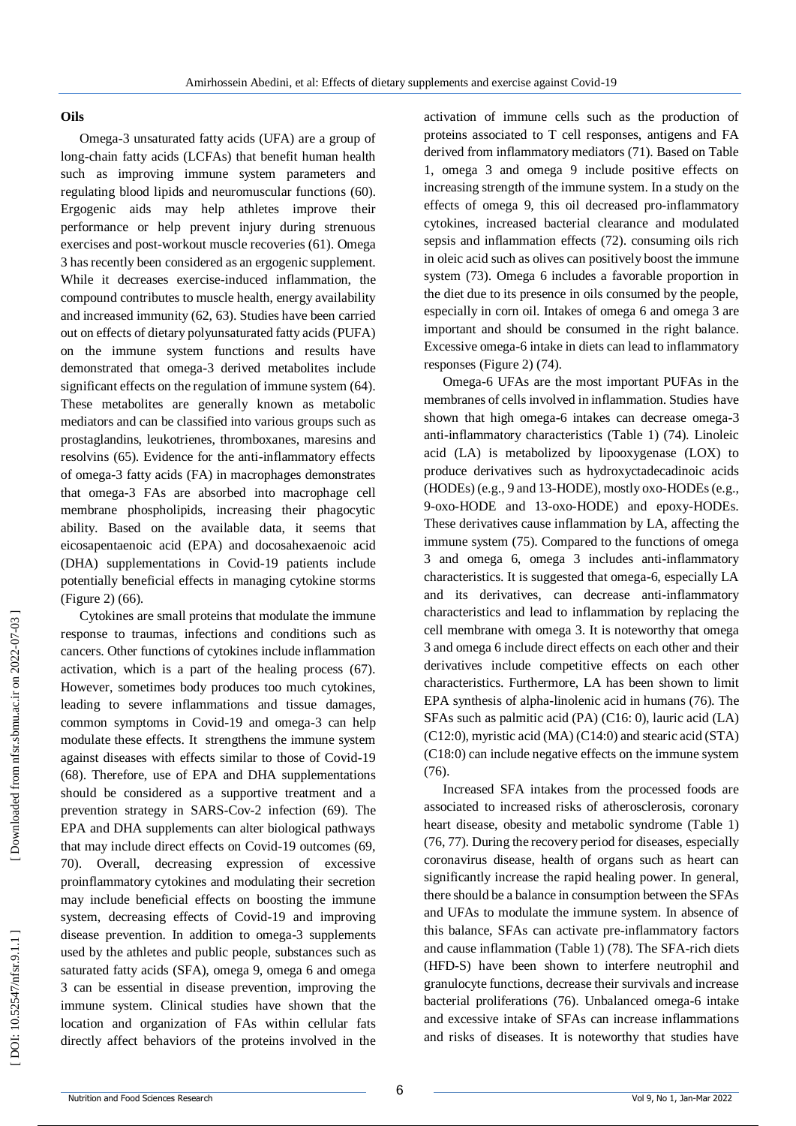#### **Oils**

Omega -3 unsaturated fatty acids (UFA) are a group of long -chain fatty acids (LCFAs) that benefit human health such as improving immune system parameters and regulating blood lipids and neuromuscular functions (60). Ergogenic aids may help athletes improve their performance or help prevent injury during strenuous exercises and post -workout muscle recoveries (61). Omega 3 has recently been considered as an ergogenic supplement. While it decreases exercise -induced inflammation, the compound contributes to muscle health, energy availability and increased immunity (62, 63). Studies have been carried out on effects of dietary polyunsaturated fatty acids (PUFA) on the immune system functions and results have demonstrated that omega -3 derived metabolites include significant effects on the regulation of immune system (64). These metabolites are generally known as metabolic mediators and can be classified into various groups such as prostaglandins, leukotrienes, thromboxanes, maresins and resolvins (65). Evidence for the anti -inflammatory effects of omega -3 fatty acids (FA) in macrophages demonstrates that omega -3 FAs are absorbed into macrophage cell membrane phospholipids, increasing their phagocytic ability. Based on the available data, it seems that eicosapentaenoic acid (EPA) and docosahexaenoic acid (DHA) supplementations in Covid -19 patients include potentially beneficial effects in managing cytokine storms (Figure 2) (66).

Cytokines are small proteins that modulate the immune response to traumas, infections and conditions such as cancers. Other functions of cytokines include inflammation activation, which is a part of the healing process (67). However, sometimes body produces too much cytokines, leading to severe inflammations and tissue damages, common symptoms in Covid -19 and omega -3 can help modulate these effects. It strengthens the immune system against diseases with effects similar to those of Covid -19 (68). Therefore, use of EPA and DHA supplementations should be considered as a supportive treatment and a prevention strategy in SARS -Cov -2 infection (69). The EPA and DHA supplements can alter biological pathways that may include direct effects on Covid -19 outcomes (69, 70). Overall, decreasing expression of excessive proinflammatory cytokines and modulating their secretion may include beneficial effects on boosting the immune system, decreasing effects of Covid -19 and improving disease prevention. In addition to omega -3 supplements used by the athletes and public people, substances such as saturated fatty acids (SFA), omega 9, omega 6 and omega 3 can be essential in disease prevention, improving the immune system. Clinical studies have shown that the location and organization of FAs within cellular fats directly affect behaviors of the proteins involved in the

activation of immune cells such as the production of proteins associated to T cell responses, antigens and FA derived from inflammatory mediators (71). Based on Table 1, omega 3 and omega 9 include positive effects on increasing strength of the immune system. In a study on the effects of omega 9, this oil decreased pro -inflammatory cytokines, increased bacterial clearance and modulated sepsis and inflammation effects (72). consuming oils rich in oleic acid such as olives can positively boost the immune system (73). Omega 6 includes a favorable proportion in the diet due to its presence in oils consumed by the people, especially in corn oil. Intakes of omega 6 and omega 3 are important and should be consumed in the right balance. Excessive omega -6 intake in diets can lead to inflammatory responses (Figure 2) (74).

Omega -6 UFAs are the most important PUFAs in the membranes of cells involved in inflammation. Studies have shown that high omega -6 intakes can decrease omega -3 anti -inflammatory characteristics (Table 1) (74). Linoleic acid (LA) is metabolized by lipooxygenase (LOX) to produce derivatives such as hydroxyctadecadinoic acids (HODEs) (e.g., 9 and 13-HODE), mostly oxo-HODEs (e.g., 9 -oxo -HODE and 13 -oxo -HODE) and epoxy -HODEs. These derivatives cause inflammation by LA, affecting the immune system (75). Compared to the functions of omega 3 and omega 6, omega 3 includes anti -inflammatory characteristics. It is suggested that omega -6, especially LA and its derivatives, can decrease anti -inflammatory characteristics and lead to inflammation by replacing the cell membrane with omega 3. It is noteworthy that omega 3 and omega 6 include direct effects on each other and their derivatives include competitive effects on each other characteristics. Furthermore, LA has been shown to limit EPA synthesis of alpha -linolenic acid in humans (76). The SFAs such as palmitic acid (PA) (C16: 0), lauric acid (LA) (C12:0), myristic acid (MA) (C14:0) and stearic acid (STA) (C18:0) can include negative effects on the immune system (76).

Increased SFA intakes from the processed foods are associated to increased risks of atherosclerosis, coronary heart disease, obesity and metabolic syndrome (Table 1) (76, 77). During the recovery period for diseases, especially coronavirus disease, health of organs such as heart can significantly increase the rapid healing power. In general, there should be a balance in consumption between the SFAs and UFAs to modulate the immune system. In absence of this balance, SFAs can activate pre -inflammatory factors and cause inflammation (Table 1) (78). The SFA -rich diets (HFD -S) have been shown to interfere neutrophil and granulocyte functions, decrease their survivals and increase bacterial proliferations (76). Unbalanced omega -6 intake and excessive intake of SFAs can increase inflammations and risks of diseases. It is noteworthy that studies have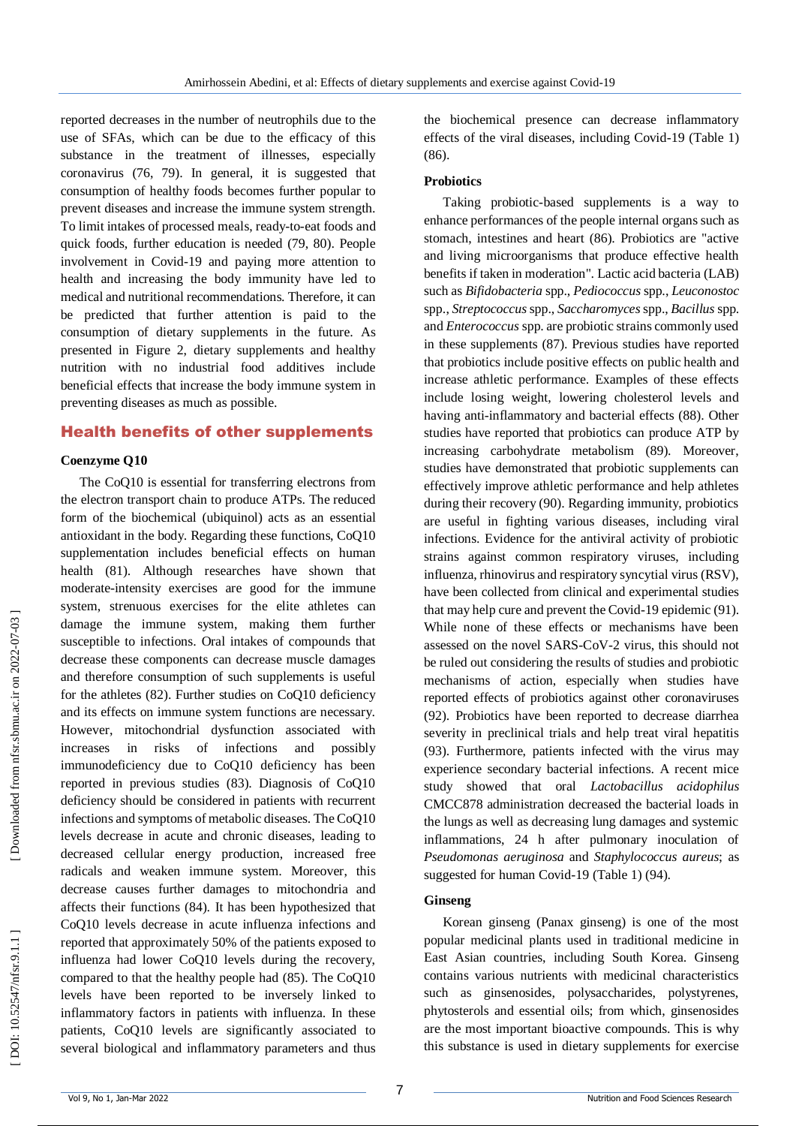reported decreases in the number of neutrophils due to the use of SFAs, which can be due to the efficacy of this substance in the treatment of illnesses, especially coronavirus (76, 79). In general, it is suggested that consumption of healthy foods becomes further popular to prevent diseases and increase the immune system strength. To limit intakes of processed meals, ready -to -eat foods and quick foods, further education is needed (79, 80). People involvement in Covid -19 and paying more attention to health and increasing the body immunity have led to medical and nutritional recommendations. Therefore, it can be predicted that further attention is paid to the consumption of dietary supplements in the future. As presented in Figure 2, dietary supplements and healthy nutrition with no industrial food additives include beneficial effects that increase the body immune system in preventing diseases as much as possible.

### Health benefits of other supplements

#### **Coenzyme Q10**

The CoQ10 is essential for transferring electrons from the electron transport chain to produce ATPs. The reduced form of the biochemical (ubiquinol) acts as an essential antioxidant in the body. Regarding these functions, CoQ10 supplementation includes beneficial effects on human health (81). Although researches have shown that moderate -intensity exercises are good for the immune system, strenuous exercises for the elite athletes can damage the immune system, making them further susceptible to infections. Oral intakes of compounds that decrease these components can decrease muscle damages and therefore consumption of such supplements is useful for the athletes (82). Further studies on CoQ10 deficiency and its effects on immune system functions are necessary. However, mitochondrial dysfunction associated with increases in risks of infections and possibly immunodeficiency due to CoQ10 deficiency has been reported in previous studies (83). Diagnosis of CoQ10 deficiency should be considered in patients with recurrent infections and symptoms of metabolic diseases. The CoQ10 levels decrease in acute and chronic diseases, leading to decreased cellular energy production, increased free radicals and weaken immune system. Moreover, this decrease causes further damages to mitochondria and affects their functions (84). It has been hypothesized that CoQ10 levels decrease in acute influenza infections and reported that approximately 50% of the patients exposed to influenza had lower CoQ10 levels during the recovery, compared to that the healthy people had (85). The CoQ10 levels have been reported to be inversely linked to inflammatory factors in patients with influenza. In these patients, CoQ10 levels are significantly associated to several biological and inflammatory parameters and thus

the biochemical presence can decrease inflammatory effects of the viral diseases, including Covid -19 (Table 1) (86).

#### **Probiotics**

Taking probiotic - based supplements is a way to enhance performances of the people internal organs such as stomach, intestines and heart (86). Probiotics are "active and living microorganisms that produce effective health benefits if taken in moderation". Lactic acid bacteria (LAB) such as *Bifidobacteria* spp., *Pediococcus* spp., *Leuconostoc* spp., *Streptococcus*spp., *Saccharomyces*spp., *Bacillus* spp. and *Enterococcus* spp. are probiotic strains commonly used in these supplements (87). Previous studies have reported that probiotics include positive effects on public health and increase athletic performance. Examples of these effects include losing weight, lowering cholesterol levels and having anti -inflammatory and bacterial effects (88). Other studies have reported that probiotics can produce ATP by increasing carbohydrate metabolism (89). Moreover, studies have demonstrated that probiotic supplements can effectively improve athletic performance and help athletes during their recovery (90). Regarding immunity, probiotics are useful in fighting various diseases, including viral infections. Evidence for the antiviral activity of probiotic strains against common respiratory viruses, including influenza, rhinovirus and respiratory syncytial virus (RSV), have been collected from clinical and experimental studies that may help cure and prevent the Covid -19 epidemic (91). While none of these effects or mechanisms have been assessed on the novel SARS -CoV -2 virus, this should not be ruled out considering the results of studies and probiotic mechanisms of action, especially when studies have reported effects of probiotics against other coronaviruses (92). Probiotics have been reported to decrease diarrhea severity in preclinical trials and help treat viral hepatitis (93). Furthermore, patients infected with the virus may experience secondary bacterial infections. A recent mice study showed that oral *Lactobacillus acidophilus* CMCC878 administration decreased the bacterial loads in the lungs as well as decreasing lung damages and systemic inflammations, 24 h after pulmonary inoculation of *Pseudomonas aeruginosa* and *Staphylococcus aureus*; as suggested for human Covid -19 (Table 1) (94).

### **Ginseng**

Korean ginseng (Panax ginseng) is one of the most popular medicinal plants used in traditional medicine in East Asian countries, including South Korea. Ginseng contains various nutrients with medicinal characteristics such as ginsenosides, polysaccharides, polystyrenes, phytosterols and essential oils; from which, ginsenosides are the most important bioactive compounds. This is why this substance is used in dietary supplements for exercise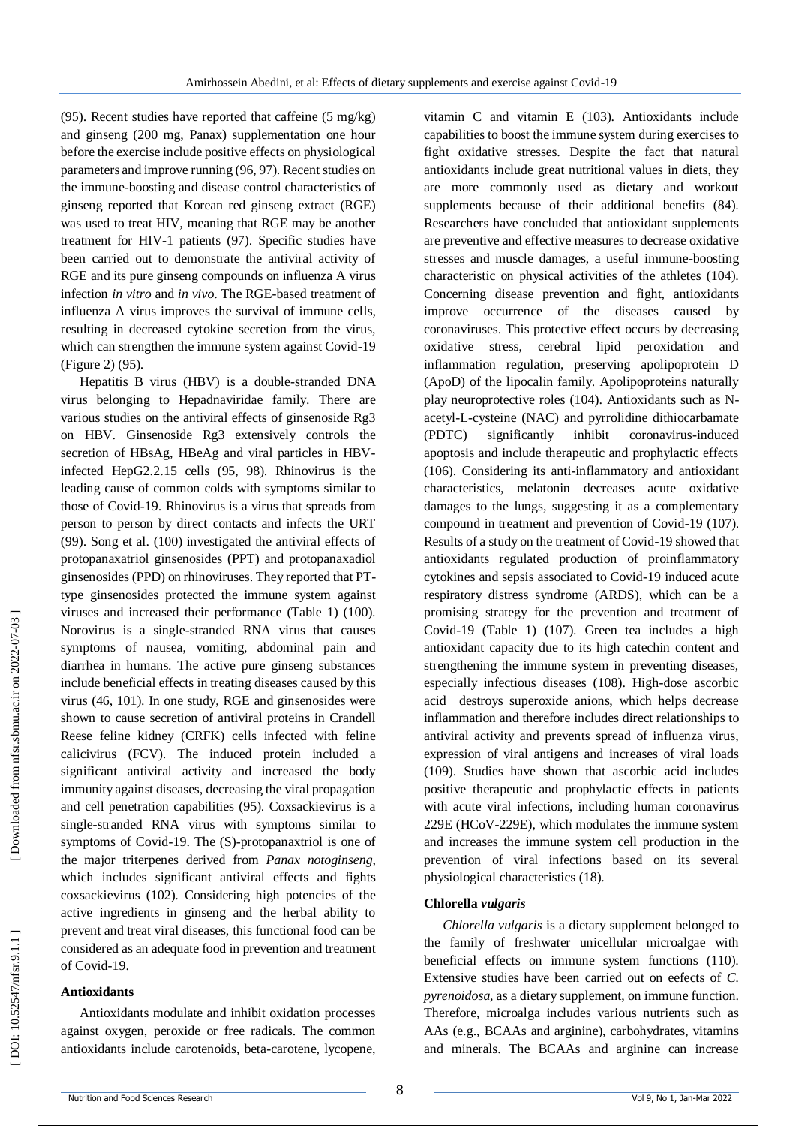(95). Recent studies have reported that caffeine  $(5 \text{ mg/kg})$ and ginseng (200 mg, Panax) supplementation one hour before the exercise include positive effects on physiological parameters and improve running (96, 97). Recent studies on the immune -boosting and disease control characteristics of ginseng reported that Korean red ginseng extract (RGE) was used to treat HIV, meaning that RGE may be another treatment for HIV -1 patients (97). Specific studies have been carried out to demonstrate the antiviral activity of RGE and its pure ginseng compounds on influenza A virus infection *in vitro* and *in vivo*. The RGE -based treatment of influenza A virus improves the survival of immune cells, resulting in decreased cytokine secretion from the virus, which can strengthen the immune system against Covid -19 (Figure 2) (95).

Hepatitis B virus (HBV) is a double -stranded DNA virus belonging to Hepadnaviridae family. There are various studies on the antiviral effects of ginsenoside Rg3 on HBV. Ginsenoside Rg3 extensively controls the secretion of HBsAg, HBeAg and viral particles in HBVinfected HepG2.2.15 cells (95, 98). Rhinovirus is the leading cause of common colds with symptoms similar to those of Covid -19. Rhinovirus is a virus that spreads from person to person by direct contacts and infects the URT (99). Song et al. (100) investigated the antiviral effects of protopanaxatriol ginsenosides (PPT) and protopanaxadiol ginsenosides (PPD) on rhinoviruses. They reported that PT type ginsenosides protected the immune system against viruses and increased their performance (Table 1) (100). Norovirus is a single -stranded RNA virus that causes symptoms of nausea, vomiting, abdominal pain and diarrhea in humans. The active pure ginseng substances include beneficial effects in treating diseases caused by this virus (46, 101). In one study, RGE and ginsenosides were shown to cause secretion of antiviral proteins in Crandell Reese feline kidney (CRFK) cells infected with feline calicivirus (FCV). The induced protein included a significant antiviral activity and increased the body immunity against diseases, decreasing the viral propagation and cell penetration capabilities (95). Coxsackievirus is a single -stranded RNA virus with symptoms similar to symptoms of Covid -19. The (S) -protopanaxtriol is one of the major triterpenes derived from *Panax notoginseng*, which includes significant antiviral effects and fights coxsackievirus (102). Considering high potencies of the active ingredients in ginseng and the herbal ability to prevent and treat viral diseases, this functional food can be considered as an adequate food in prevention and treatment of Covid -19.

#### **Antioxidants**

Antioxidants modulate and inhibit oxidation processes against oxygen, peroxide or free radicals. The common antioxidants include carotenoids, beta -carotene, lycopene, vitamin C and vitamin E (103). Antioxidants include capabilities to boost the immune system during exercises to fight oxidative stresses. Despite the fact that natural antioxidants include great nutritional values in diets, they are more commonly used as dietary and workout supplements because of their additional benefits (84). Researchers have concluded that antioxidant supplements are preventive and effective measures to decrease oxidative stresses and muscle damages, a useful immune -boosting characteristic on physical activities of the athletes (104). Concerning disease prevention and fight, antioxidants improve occurrence of the diseases caused by coronaviruses. This protective effect occurs by decreasing oxidative stress, cerebral lipid peroxidation and inflammation regulation, preserving apolipoprotein D (ApoD) of the lipocalin family. Apolipoproteins naturally play neuroprotective roles (104). Antioxidants such as N acetyl - L -cysteine (NAC) and pyrrolidine dithiocarbamate  $(PDTC)$  significantly inhibit coronavirus-induced apoptosis and include therapeutic and prophylactic effects (106). Considering its anti -inflammatory and antioxidant characteristics, melatonin decreases acute oxidative damages to the lungs, suggesting it as a complementary compound in treatment and prevention of Covid -19 (107). Results of a study on the treatment of Covid -19 showed that antioxidants regulated production of proinflammatory cytokines and sepsis associated to Covid -19 induced acute respiratory distress syndrome (ARDS), which can be a promising strategy for the prevention and treatment of Covid -19 (Table 1) (107). Green tea includes a high antioxidant capacity due to its high catechin content and strengthening the immune system in preventing diseases, especially infectious diseases (108). High -dose ascorbic acid destroys superoxide anions, which helps decrease inflammation and therefore includes direct relationships to antiviral activity and prevents spread of influenza virus, expression of viral antigens and increases of viral loads (109). Studies have shown that ascorbic acid includes positive therapeutic and prophylactic effects in patients with acute viral infections, including human coronavirus 229E (HCoV -229E), which modulates the immune system and increases the immune system cell production in the prevention of viral infections based on its several physiological characteristics (18).

#### **Chlorella** *vulgaris*

*Chlorella vulgaris* is a dietary supplement belonged to the family of freshwater unicellular microalgae with beneficial effects on immune system functions (110). Extensive studies have been carried out on eefects of *C. pyrenoidosa*, as a dietary supplement, on immune function. Therefore, microalga includes various nutrients such as AAs (e.g., BCAAs and arginine), carbohydrates, vitamins and minerals. The BCAAs and arginine can increase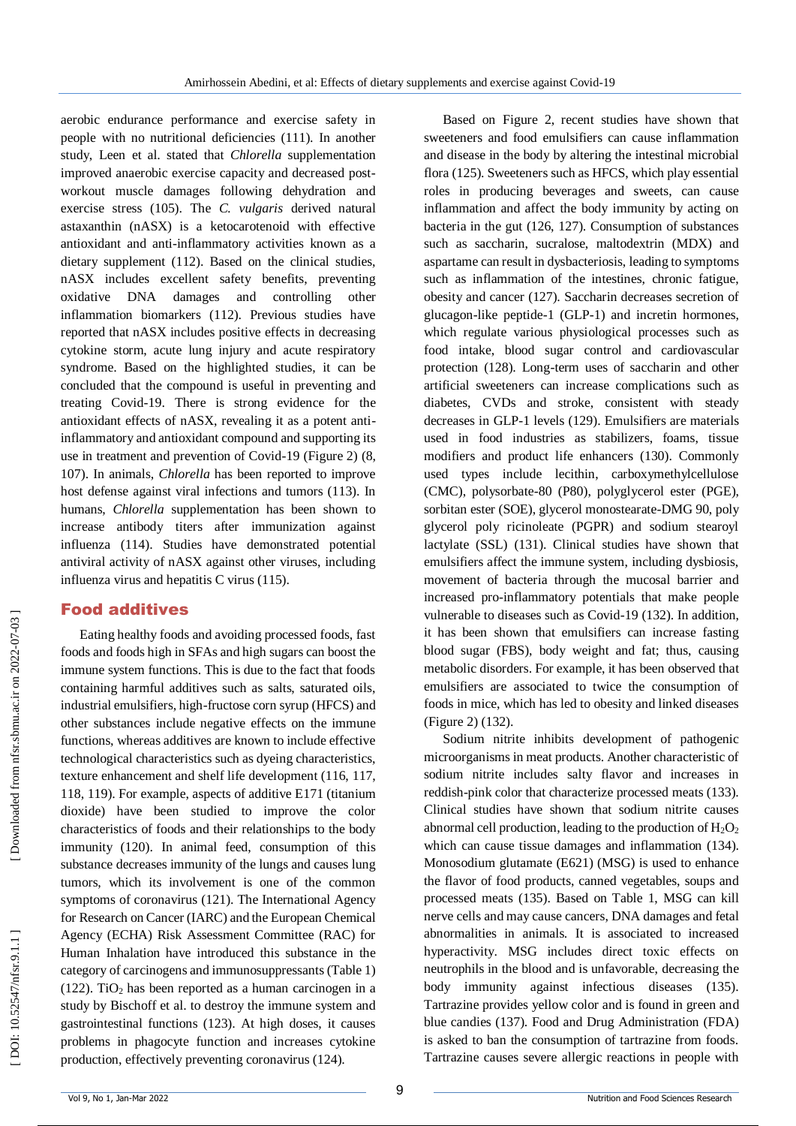aerobic endurance performance and exercise safety in people with no nutritional deficiencies (111). In another study, Leen et al. stated that *Chlorella* supplementation improved anaerobic exercise capacity and decreased post workout muscle damages following dehydration and exercise stress (105). The *C. vulgaris* derived natural astaxanthin (nASX) is a ketocarotenoid with effective antioxidant and anti -inflammatory activities known as a dietary supplement (112). Based on the clinical studies, nASX includes excellent safety benefits, preventing oxidative DNA damages and controlling other inflammation biomarkers (112). Previous studies have reported that nASX includes positive effects in decreasing cytokine storm, acute lung injury and acute respiratory syndrome. Based on the highlighted studies, it can be concluded that the compound is useful in preventing and treating Covid -19. There is strong evidence for the antioxidant effects of nASX, revealing it as a potent anti inflammatory and antioxidant compound and supporting its use in treatment and prevention of Covid -19 (Figure 2) (8, 107). In animals, *Chlorella* has been reported to improve host defense against viral infections and tumors (113). In humans, *Chlorella* supplementation has been shown to increase antibody titers after immunization against influenza (114). Studies have demonstrated potential antiviral activity of nASX against other viruses, including influenza virus and hepatitis C virus (115).

## Food additives

Eating healthy foods and avoiding processed foods, fast foods and foods high in SFAs and high sugars can boost the immune system functions. This is due to the fact that foods containing harmful additives such as salts, saturated oils, industrial emulsifiers, high -fructose corn syrup (HFCS) and other substances include negative effects on the immune functions, whereas additives are known to include effective technological characteristics such as dyeing characteristics, texture enhancement and shelf life development (116, 117, 118, 119). For example, aspects of additive E171 (titanium dioxide) have been studied to improve the color characteristics of foods and their relationships to the body immunity (120). In animal feed, consumption of this substance decreases immunity of the lungs and causes lung tumors, which its involvement is one of the common symptoms of coronavirus (121). The International Agency for Research on Cancer (IARC) and the European Chemical Agency (ECHA) Risk Assessment Committee (RAC) for Human Inhalation have introduced this substance in the category of carcinogens and immunosuppressants (Table 1) (122). TiO <sup>2</sup> has been reported as a human carcinogen in a study by Bischoff et al. to destroy the immune system and gastrointestinal functions (123). At high doses, it causes problems in phagocyte function and increases cytokine production, effectively preventing coronavirus (124).

Based on Figure 2, recent studies have shown that sweeteners and food emulsifiers can cause inflammation and disease in the body by altering the intestinal microbial flora (125). Sweeteners such as HFCS, which play essential roles in producing beverages and sweets, can cause inflammation and affect the body immunity by acting on bacteria in the gut (126, 127). Consumption of substances such as saccharin, sucralose, maltodextrin (MDX) and aspartame can result in dysbacteriosis, leading to symptoms such as inflammation of the intestines, chronic fatigue, obesity and cancer (127). Saccharin decreases secretion of glucagon -like peptide -1 (GLP -1) and incretin hormones, which regulate various physiological processes such as food intake, blood sugar control and cardiovascular protection (128). Long -term uses of saccharin and other artificial sweeteners can increase complications such as diabetes, CVDs and stroke, consistent with steady decreases in GLP -1 levels (129). Emulsifiers are materials used in food industries as stabilizers, foams, tissue modifiers and product life enhancers (130). Commonly used types include lecithin, carboxymethylcellulose (CMC), polysorbate -80 (P80), polyglycerol ester (PGE), sorbitan ester (SOE), glycerol monostearate -DMG 90, poly glycerol poly ricinoleate (PGPR) and sodium stearoyl lactylate (SSL) (131). Clinical studies have shown that emulsifiers affect the immune system, including dysbiosis, movement of bacteria through the mucosal barrier and increased pro -inflammatory potentials that make people vulnerable to diseases such as Covid -19 (132). In addition, it has been shown that emulsifiers can increase fasting blood sugar (FBS), body weight and fat; thus, causing metabolic disorders. For example, it has been observed that emulsifiers are associated to twice the consumption of foods in mice, which has led to obesity and linked diseases (Figure 2) (132).

Sodium nitrite inhibits development of pathogenic microorganisms in meat products. Another characteristic of sodium nitrite includes salty flavor and increases in reddish -pink color that characterize processed meats (133). Clinical studies have shown that sodium nitrite causes abnormal cell production, leading to the production of  $H_2O_2$ which can cause tissue damages and inflammation (134). Monosodium glutamate (E621) (MSG) is used to enhance the flavor of food products, canned vegetables, soups and processed meats (135). Based on Table 1, MSG can kill nerve cells and may cause cancers, DNA damages and fetal abnormalities in animals. It is associated to increased hyperactivity. MSG includes direct toxic effects on neutrophils in the blood and is unfavorable, decreasing the body immunity against infectious diseases (135). Tartrazine provides yellow color and is found in green and blue candies (137). Food and Drug Administration (FDA) is asked to ban the consumption of tartrazine from foods. Tartrazine causes severe allergic reactions in people with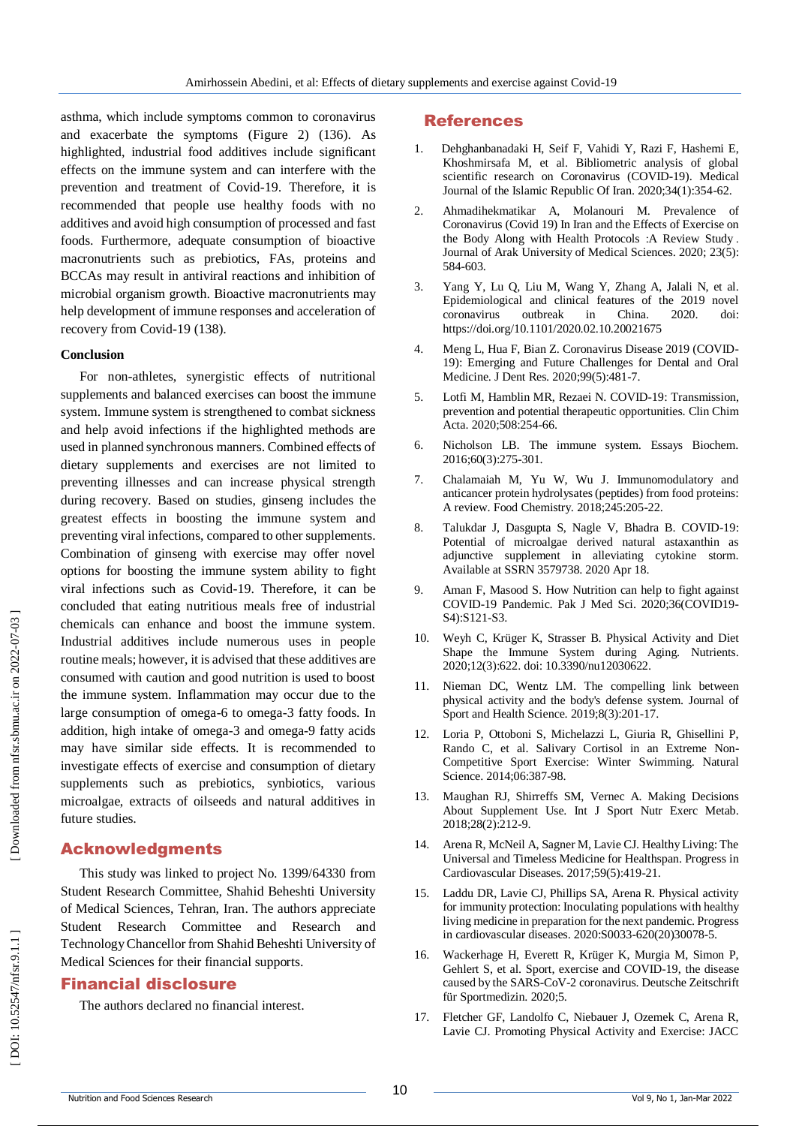asthma, which include symptoms common to coronavirus and exacerbate the symptoms (Figure 2) (136). As highlighted, industrial food additives include significant effects on the immune system and can interfere with the prevention and treatment of Covid -19. Therefore, it is recommended that people use healthy foods with no additives and avoid high consumption of processed and fast foods. Furthermore, adequate consumption of bioactive macronutrients such as prebiotics, FAs, proteins and BCCAs may result in antiviral reactions and inhibition of microbial organism growth. Bioactive macronutrients may help development of immune responses and acceleration of recovery from Covid -19 (138).

#### **Conclusion**

For non -athletes, synergistic effects of nutritional supplements and balanced exercises can boost the immune system. Immune system is strengthened to combat sickness and help avoid infections if the highlighted methods are used in planned synchronous manners. Combined effects of dietary supplements and exercises are not limited to preventing illnesses and can increase physical strength during recovery. Based on studies, ginseng includes the greatest effects in boosting the immune system and preventing viral infections, compared to other supplements. Combination of ginseng with exercise may offer novel options for boosting the immune system ability to fight viral infections such as Covid -19. Therefore, it can be concluded that eating nutritious meals free of industrial chemicals can enhance and boost the immune system. Industrial additives include numerous uses in people routine meals; however, it is advised that these additives are consumed with caution and good nutrition is used to boost the immune system. Inflammation may occur due to the large consumption of omega -6 to omega -3 fatty foods. In addition, high intake of omega -3 and omega -9 fatty acids may have similar side effects. It is recommended to investigate effects of exercise and consumption of dietary supplements such as prebiotics, synbiotics, various microalgae, extracts of oilseeds and natural additives in future studies.

### Acknowledgments

This study was linked to project No. 1399/64330 from Student Research Committee, Shahid Beheshti University of Medical Sciences, Tehran, Iran. The authors appreciate Student Research Committee and Research and Technology Chancellor from Shahid Beheshti University of Medical Sciences for their financial supports.

#### Financial disclosure

The authors declared no financial interest.

#### References

- 1. Dehghanbanadaki H, Seif F, Vahidi Y, Razi F, Hashemi E, Khoshmirsafa M, et al. Bibliometric analysis of global scientific research on Coronavirus (COVID-19). Medical Journal of the Islamic Republic Of Iran. 2020;34(1):354 -62.
- 2. Ahmadihekmatikar A, Molanouri M. Prevalence of Coronavirus (Covid 19) In Iran and the Effects of Exercise on the Body Along with Health Protocols : A Review Study . Journal of Arak University of Medical Sciences. 2020; 23(5): 584 -603.
- 3. Yang Y, Lu Q, Liu M, Wang Y, Zhang A, Jalali N, et al. Epidemiological and clinical features of the 2019 novel coronavirus outbreak in China. 2020. doi: https://doi.org/10.1101/2020.02.10.20021675
- 4. Meng L, Hua F, Bian Z. Coronavirus Disease 2019 (COVID 19): Emerging and Future Challenges for Dental and Oral Medicine. J Dent Res. 2020;99(5):481 -7.
- 5. Lotfi M, Hamblin MR, Rezaei N. COVID -19: Transmission, prevention and potential therapeutic opportunities. Clin Chim Acta. 2020;508:254 -66.
- 6. Nicholson LB. The immune system. Essays Biochem. 2016;60(3):275 -301.
- 7. Chalamaiah M, Yu W, Wu J. Immunomodulatory and anticancer protein hydrolysates (peptides) from food proteins: A review. Food Chemistry. 2018;245:205-22.
- 8. Talukdar J, Dasgupta S, Nagle V, Bhadra B. COVID -19: Potential of microalgae derived natural astaxanthin as adjunctive supplement in alleviating cytokine storm. Available at SSRN 3579738. 2020 Apr 18.
- 9. Aman F, Masood S. How Nutrition can help to fight against COVID -19 Pandemic. Pak J Med Sci. 2020;36(COVID19 - S4):S121 -S3.
- 10. Weyh C, Krüger K, Strasser B. Physical Activity and Diet Shape the Immune System during Aging. Nutrients. 2020;12(3):622. doi: 10.3390/nu12030622.
- 11. Nieman DC, Wentz LM. The compelling link between physical activity and the body's defense system. Journal of Sport and Health Science. 2019;8(3):201 -17.
- 12. Loria P, Ottoboni S, Michelazzi L, Giuria R, Ghisellini P, Rando C, et al. Salivary Cortisol in an Extreme Non - Competitive Sport Exercise: Winter Swimming. Natural Science. 2014;06:387 -98.
- 13. Maughan RJ, Shirreffs SM, Vernec A. Making Decisions About Supplement Use. Int J Sport Nutr Exerc Metab. 2018;28(2):212 -9.
- 14. Arena R, McNeil A, Sagner M, Lavie CJ. Healthy Living: The Universal and Timeless Medicine for Healthspan. Progress in Cardiovascular Diseases. 2017;59(5):419 -21.
- 15. Laddu DR, Lavie CJ, Phillips SA, Arena R. Physical activity for immunity protection: Inoculating populations with healthy living medicine in preparation for the next pandemic. Progress in cardiovascular diseases. 2020:S0033 -620(20)30078 -5.
- 16. Wackerhage H, Everett R, Krüger K, Murgia M, Simon P, Gehlert S, et al. Sport, exercise and COVID-19, the disease caused by the SARS -CoV -2 coronavirus. Deutsche Zeitschrift für Sportmedizin. 2020;5.
- 17. Fletcher GF, Landolfo C, Niebauer J, Ozemek C, Arena R, Lavie CJ. Promoting Physical Activity and Exercise: JACC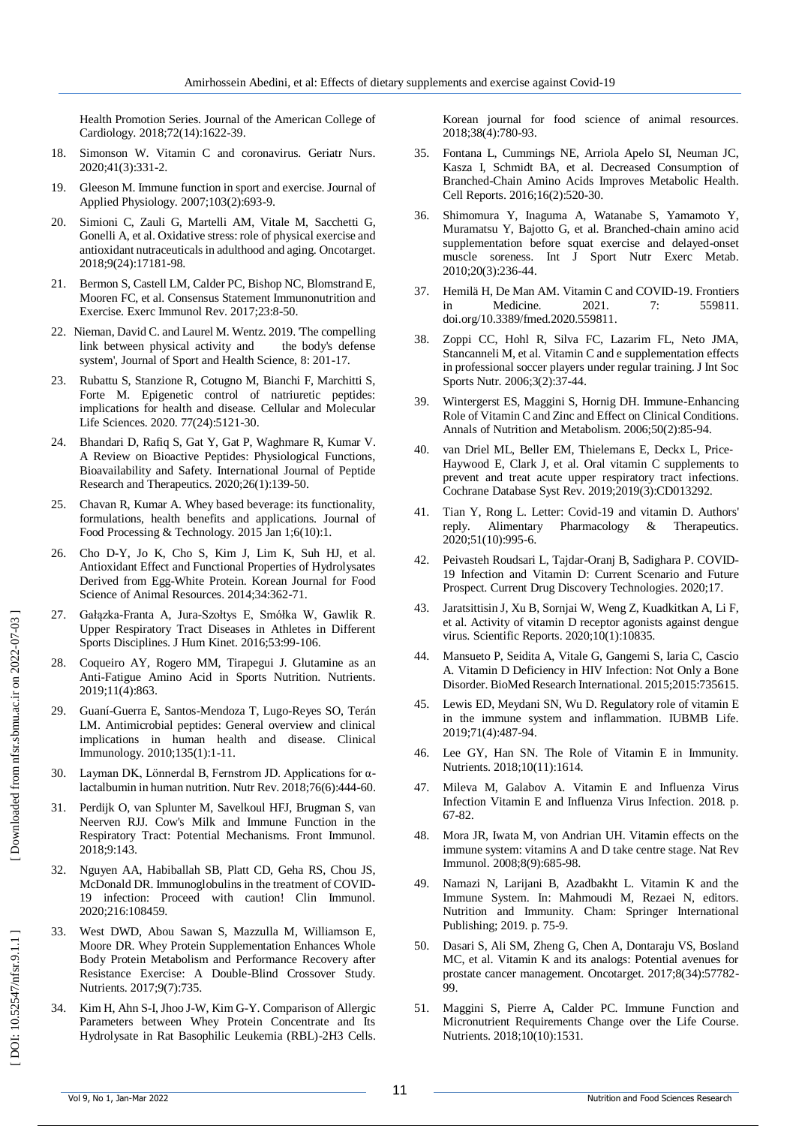Health Promotion Series. Journal of the American College of Cardiology. 2018;72(14):1622 -39.

- 18. Simonson W. Vitamin C and coronavirus. Geriatr Nurs. 2020;41(3):331 -2.
- 19. Gleeson M. Immune function in sport and exercise. Journal of Applied Physiology. 2007;103(2):693 -9.
- 20. Simioni C, Zauli G, Martelli AM, Vitale M, Sacchetti G, Gonelli A, et al. Oxidative stress: role of physical exercise and antioxidant nutraceuticals in adulthood and aging. Oncotarget. 2018;9(24):17181 -98.
- 21. Bermon S, Castell LM, Calder PC, Bishop NC, Blomstrand E, Mooren FC, et al. Consensus Statement Immunonutrition and Exercise. Exerc Immunol Rev. 2017;23:8 -50.
- 22. Nieman, David C. and Laurel M. Wentz. 2019. 'The compelling link between physical activity and the body's defense system', Journal of Sport and Health Science, 8: 201 -17.
- 23. Rubattu S, Stanzione R, Cotugno M, Bianchi F, Marchitti S, Forte M. Epigenetic control of natriuretic peptides: implications for health and disease. Cellular and Molecular Life Sciences. 2020. 77(24):5121 -30.
- 24. Bhandari D, Rafiq S, Gat Y, Gat P, Waghmare R, Kumar V. A Review on Bioactive Peptides: Physiological Functions, Bioavailability and Safety. International Journal of Peptide Research and Therapeutics. 2020;26(1):139 -50.
- 25. Chavan R, Kumar A. Whey based beverage: its functionality, formulations, health benefits and applications. Journal of Food Processing & Technology. 2015 Jan 1;6(10):1.
- 26. Cho D -Y, Jo K, Cho S, Kim J, Lim K, Suh HJ, et al. Antioxidant Effect and Functional Properties of Hydrolysates Derived from Egg -White Protein. Korean Journal for Food Science of Animal Resources. 2014;34:362 -71.
- 27. Gałązka -Franta A, Jura -Szołtys E, Smółka W, Gawlik R. Upper Respiratory Tract Diseases in Athletes in Different Sports Disciplines. J Hum Kinet. 2016;53:99 -106.
- 28. Coqueiro AY, Rogero MM, Tirapegui J. Glutamine as an Anti -Fatigue Amino Acid in Sports Nutrition. Nutrients. 2019;11(4):863.
- 29. Guaní -Guerra E, Santos -Mendoza T, Lugo -Reyes SO, Terán LM. Antimicrobial peptides: General overview and clinical implications in human health and disease. Clinical Immunology. 2010;135(1):1 -11.
- 30. Layman DK, Lönnerdal B, Fernstrom JD. Applications for α lactalbumin in human nutrition. Nutr Rev. 2018;76(6):444 -60.
- 31. Perdijk O, van Splunter M, Savelkoul HFJ, Brugman S, van Neerven RJJ. Cow's Milk and Immune Function in the Respiratory Tract: Potential Mechanisms. Front Immunol. 2018;9:143.
- 32. Nguyen AA, Habiballah SB, Platt CD, Geha RS, Chou JS, McDonald DR. Immunoglobulins in the treatment of COVID - 19 infection: Proceed with caution! Clin Immunol. 2020;216:108459.
- 33. West DWD, Abou Sawan S, Mazzulla M, Williamson E, Moore DR. Whey Protein Supplementation Enhances Whole Body Protein Metabolism and Performance Recovery after Resistance Exercise: A Double -Blind Crossover Study. Nutrients. 2017;9(7):735.
- 34. Kim H, Ahn S -I, Jhoo J -W, Kim G -Y. Comparison of Allergic Parameters between Whey Protein Concentrate and Its Hydrolysate in Rat Basophilic Leukemia (RBL) -2H3 Cells.

Korean journal for food science of animal resources. 2018;38(4):780 -93.

- 35. Fontana L, Cummings NE, Arriola Apelo SI, Neuman JC, Kasza I, Schmidt BA, et al. Decreased Consumption of Branched -Chain Amino Acids Improves Metabolic Health. Cell Reports. 2016;16(2):520 -30.
- 36. Shimomura Y, Inaguma A, Watanabe S, Yamamoto Y, Muramatsu Y, Bajotto G, et al. Branched -chain amino acid supplementation before squat exercise and delayed -onset muscle soreness. Int J Sport Nutr Exerc Metab. 2010;20(3):236 -44.
- 37. Hemilä H, De Man AM. Vitamin C and COVID -19. Frontiers in Medicine. 2021. 7: 559811. doi.org/10.3389/fmed.2020.559811 .
- 38. Zoppi CC, Hohl R, Silva FC, Lazarim FL, Neto JMA, Stancanneli M, et al. Vitamin C and e supplementation effects in professional soccer players under regular training. J Int Soc Sports Nutr. 2006;3(2):37 -44.
- 39. Wintergerst ES, Maggini S, Hornig DH. Immune -Enhancing Role of Vitamin C and Zinc and Effect on Clinical Conditions. Annals of Nutrition and Metabolism. 2006;50(2):85 -94.
- 40. van Driel ML, Beller EM, Thielemans E, Deckx L, Price ‐ Haywood E, Clark J, et al. Oral vitamin C supplements to prevent and treat acute upper respiratory tract infections. Cochrane Database Syst Rev. 2019;2019(3):CD013292.
- 41. Tian Y, Rong L. Letter: Covid -19 and vitamin D. Authors' reply. Alimentary Pharmacology & Therapeutics. 2020;51(10):995 -6.
- 42. Peivasteh Roudsari L, Tajdar -Oranj B, Sadighara P. COVID 19 Infection and Vitamin D: Current Scenario and Future Prospect. Current Drug Discovery Technologies. 2020;17.
- 43. Jaratsittisin J, Xu B, Sornjai W, Weng Z, Kuadkitkan A, Li F, et al. Activity of vitamin D receptor agonists against dengue virus. Scientific Reports. 2020;10(1):10835.
- 44. Mansueto P, Seidita A, Vitale G, Gangemi S, Iaria C, Cascio A. Vitamin D Deficiency in HIV Infection: Not Only a Bone Disorder. BioMed Research International. 2015;2015:735615.
- 45. Lewis ED, Meydani SN, Wu D. Regulatory role of vitamin E in the immune system and inflammation. IUBMB Life. 2019;71(4):487 -94.
- 46. Lee GY, Han SN. The Role of Vitamin E in Immunity. Nutrients. 2018;10(11):1614.
- 47. Mileva M, Galabov A. Vitamin E and Influenza Virus Infection Vitamin E and Influenza Virus Infection. 2018. p. 67 -82.
- 48. Mora JR, Iwata M, von Andrian UH. Vitamin effects on the immune system: vitamins A and D take centre stage. Nat Rev Immunol. 2008;8(9):685 -98.
- 49. Namazi N, Larijani B, Azadbakht L. Vitamin K and the Immune System. In: Mahmoudi M, Rezaei N, editors. Nutrition and Immunity. Cham: Springer International Publishing; 2019. p. 75 -9.
- 50. Dasari S, Ali SM, Zheng G, Chen A, Dontaraju VS, Bosland MC, et al. Vitamin K and its analogs: Potential avenues for prostate cancer management. Oncotarget. 2017;8(34):57782 - 99.
- 51. Maggini S, Pierre A, Calder PC. Immune Function and Micronutrient Requirements Change over the Life Course. Nutrients. 2018;10(10):1531.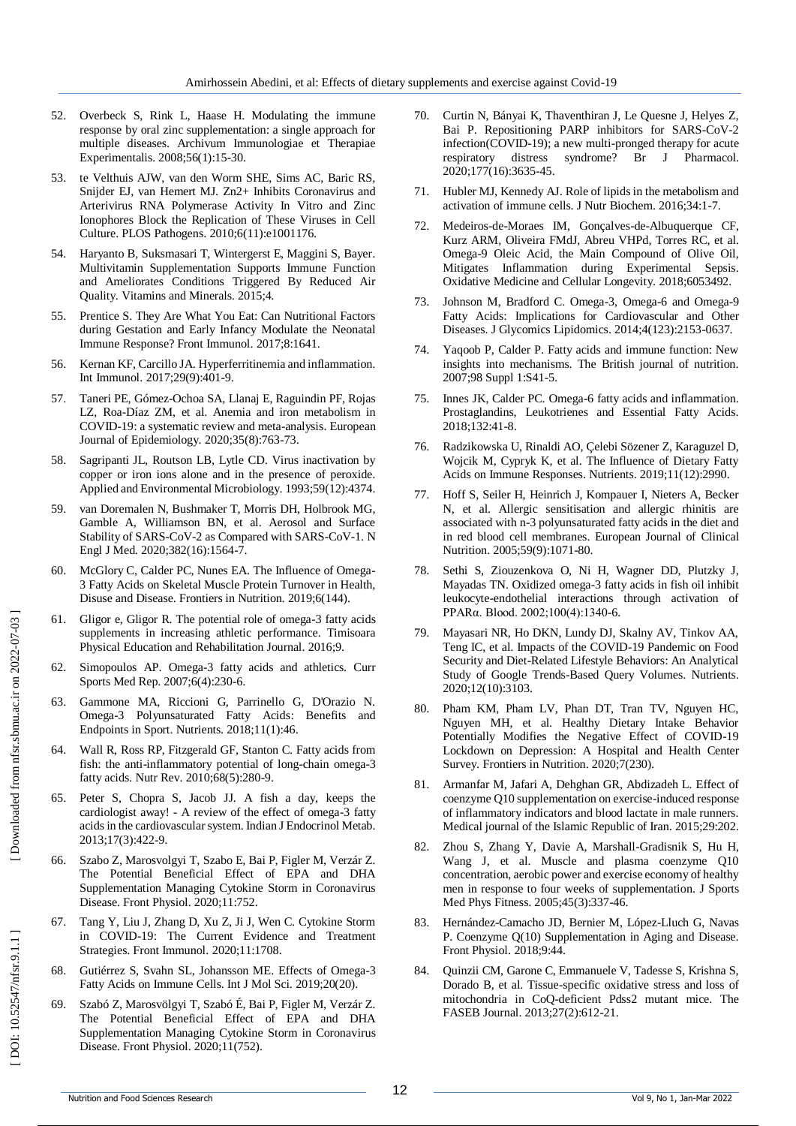- 52. Overbeck S, Rink L, Haase H. Modulating the immune response by oral zinc supplementation: a single approach for multiple diseases. Archivum Immunologiae et Therapiae Experimentalis. 2008;56(1):15 -30.
- 53. te Velthuis AJW, van den Worm SHE, Sims AC, Baric RS, Snijder EJ, van Hemert MJ. Zn2+ Inhibits Coronavirus and Arterivirus RNA Polymerase Activity In Vitro and Zinc Ionophores Block the Replication of These Viruses in Cell Culture. PLOS Pathogens. 2010;6(11):e1001176.
- 54. Haryanto B, Suksmasari T, Wintergerst E, Maggini S, Bayer. Multivitamin Supplementation Supports Immune Function and Ameliorates Conditions Triggered By Reduced Air Quality. Vitamins and Minerals. 2015;4.
- 55. Prentice S. They Are What You Eat: Can Nutritional Factors during Gestation and Early Infancy Modulate the Neonatal Immune Response? Front Immunol. 2017;8:1641.
- 56. Kernan KF, Carcillo JA. Hyperferritinemia and inflammation. Int Immunol. 2017;29(9):401 -9.
- 57. Taneri PE, Gómez -Ochoa SA, Llanaj E, Raguindin PF, Rojas LZ, Roa -Díaz ZM, et al. Anemia and iron metabolism in COVID -19: a systematic review and meta -analysis. European Journal of Epidemiology. 2020;35(8):763 -73.
- 58. Sagripanti JL, Routson LB, Lytle CD. Virus inactivation by copper or iron ions alone and in the presence of peroxide. Applied and Environmental Microbiology. 1993;59(12):4374.
- 59. van Doremalen N, Bushmaker T, Morris DH, Holbrook MG, Gamble A, Williamson BN, et al. Aerosol and Surface Stability of SARS-CoV-2 as Compared with SARS-CoV-1. N Engl J Med. 2020;382(16):1564 -7.
- 60. McGlory C, Calder PC, Nunes EA. The Influence of Omega 3 Fatty Acids on Skeletal Muscle Protein Turnover in Health, Disuse and Disease. Frontiers in Nutrition. 2019;6(144).
- 61. Gligor e, Gligor R. The potential role of omega -3 fatty acids supplements in increasing athletic performance. Timisoara Physical Education and Rehabilitation Journal. 2016;9.
- 62. Simopoulos AP. Omega -3 fatty acids and athletics. Curr Sports Med Rep. 2007;6(4):230 -6.
- 63. Gammone MA, Riccioni G, Parrinello G, D'Orazio N. Omega -3 Polyunsaturated Fatty Acids: Benefits and Endpoints in Sport. Nutrients. 2018;11(1):46.
- 64. Wall R, Ross RP, Fitzgerald GF, Stanton C. Fatty acids from fish: the anti-inflammatory potential of long-chain omega-3 fatty acids. Nutr Rev. 2010;68(5):280 -9.
- 65. Peter S, Chopra S, Jacob JJ. A fish a day, keeps the cardiologist away! - A review of the effect of omega -3 fatty acids in the cardiovascular system. Indian J Endocrinol Metab. 2013;17(3):422 -9.
- 66. Szabo Z, Marosvolgyi T, Szabo E, Bai P, Figler M, Verzár Z. The Potential Beneficial Effect of EPA and DHA Supplementation Managing Cytokine Storm in Coronavirus Disease. Front Physiol. 2020;11:752.
- 67. Tang Y, Liu J, Zhang D, Xu Z, Ji J, Wen C. Cytokine Storm in COVID -19: The Current Evidence and Treatment Strategies. Front Immunol. 2020;11:1708.
- 68. Gutiérrez S, Svahn SL, Johansson ME. Effects of Omega -3 Fatty Acids on Immune Cells. Int J Mol Sci. 2019;20(20).
- 69. Szabó Z, Marosvölgyi T, Szabó É, Bai P, Figler M, Verzár Z. The Potential Beneficial Effect of EPA and DHA Supplementation Managing Cytokine Storm in Coronavirus Disease. Front Physiol. 2020;11(752).
- 70. Curtin N, Bányai K, Thaventhiran J, Le Quesne J, Helyes Z, Bai P. Repositioning PARP inhibitors for SARS-CoV-2 infection(COVID -19); a new multi -pronged therapy for acute respiratory distress syndrome? Br J Pharmacol. 2020;177(16):3635 -45.
- 71. Hubler MJ, Kennedy AJ. Role of lipids in the metabolism and activation of immune cells. J Nutr Biochem. 2016;34:1 -7.
- 72. Medeiros -de -Moraes IM, Gonçalves -de -Albuquerque CF, Kurz ARM, Oliveira FMdJ, Abreu VHPd, Torres RC, et al. Omega -9 Oleic Acid, the Main Compound of Olive Oil, Mitigates Inflammation during Experimental Sepsis. Oxidative Medicine and Cellular Longevity. 2018;6053492.
- 73. Johnson M, Bradford C. Omega -3, Omega -6 and Omega -9 Fatty Acids: Implications for Cardiovascular and Other Diseases. J Glycomics Lipidomics. 2014;4(123):2153 -0637.
- 74. Yaqoob P, Calder P. Fatty acids and immune function: New insights into mechanisms. The British journal of nutrition. 2007;98 Suppl 1:S41 -5.
- 75. Innes JK, Calder PC. Omega -6 fatty acids and inflammation. Prostaglandins, Leukotrienes and Essential Fatty Acids. 2018;132:41 -8.
- 76. Radzikowska U, Rinaldi AO, Çelebi Sözener Z, Karaguzel D, Wojcik M, Cypryk K, et al. The Influence of Dietary Fatty Acids on Immune Responses. Nutrients. 2019;11(12):2990.
- 77. Hoff S, Seiler H, Heinrich J, Kompauer I, Nieters A, Becker N, et al. Allergic sensitisation and allergic rhinitis are associated with n -3 polyunsaturated fatty acids in the diet and in red blood cell membranes. European Journal of Clinical Nutrition. 2005;59(9):1071 -80.
- 78. Sethi S, Ziouzenkova O, Ni H, Wagner DD, Plutzky J, Mayadas TN. Oxidized omega -3 fatty acids in fish oil inhibit leukocyte -endothelial interactions through activation of PPARα. Blood. 2002;100(4):1340 -6.
- 79. Mayasari NR, Ho DKN, Lundy DJ, Skalny AV, Tinkov AA, Teng IC, et al. Impacts of the COVID -19 Pandemic on Food Security and Diet -Related Lifestyle Behaviors: An Analytical Study of Google Trends -Based Query Volumes. Nutrients. 2020;12(10):3103.
- 80. Pham KM, Pham LV, Phan DT, Tran TV, Nguyen HC, Nguyen MH, et al. Healthy Dietary Intake Behavior Potentially Modifies the Negative Effect of COVID-19 Lockdown on Depression: A Hospital and Health Center Survey. Frontiers in Nutrition. 2020;7(230).
- 81. Armanfar M, Jafari A, Dehghan GR, Abdizadeh L. Effect of coenzyme Q10 supplementation on exercise -induced response of inflammatory indicators and blood lactate in male runners. Medical journal of the Islamic Republic of Iran. 2015;29:202.
- 82. Zhou S, Zhang Y, Davie A, Marshall -Gradisnik S, Hu H, Wang J, et al. Muscle and plasma coenzyme Q10 concentration, aerobic power and exercise economy of healthy men in response to four weeks of supplementation. J Sports Med Phys Fitness. 2005;45(3):337 -46.
- 83. Hernández -Camacho JD, Bernier M, López -Lluch G, Navas P. Coenzyme Q(10) Supplementation in Aging and Disease. Front Physiol. 2018;9:44.
- 84. Quinzii CM, Garone C, Emmanuele V, Tadesse S, Krishna S, Dorado B, et al. Tissue -specific oxidative stress and loss of mitochondria in CoQ -deficient Pdss2 mutant mice. The FASEB Journal. 2013;27(2):612 -21.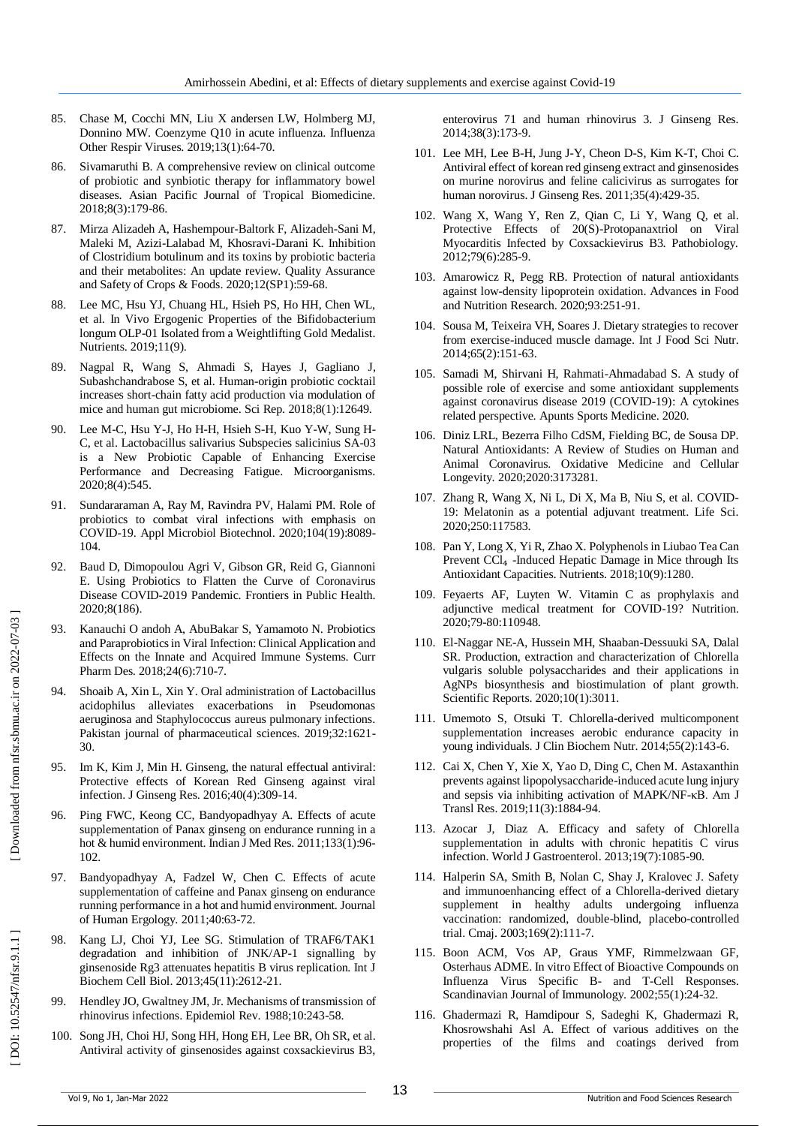- 85. Chase M, Cocchi MN, Liu X andersen LW, Holmberg MJ, Donnino MW. Coenzyme Q10 in acute influenza. Influenza Other Respir Viruses. 2019;13(1):64 -70.
- 86. Sivamaruthi B. A comprehensive review on clinical outcome of probiotic and synbiotic therapy for inflammatory bowel diseases. Asian Pacific Journal of Tropical Biomedicine. 2018;8(3):179 -86.
- 87. Mirza Alizadeh A, Hashempour -Baltork F, Alizadeh -Sani M, Maleki M, Azizi -Lalabad M, Khosravi -Darani K. Inhibition of Clostridium botulinum and its toxins by probiotic bacteria and their metabolites: An update review. Quality Assurance and Safety of Crops & Foods. 2020;12(SP1):59 -68.
- 88. Lee MC, Hsu YJ, Chuang HL, Hsieh PS, Ho HH, Chen WL, et al. In Vivo Ergogenic Properties of the Bifidobacterium longum OLP -01 Isolated from a Weightlifting Gold Medalist. Nutrients. 2019;11(9).
- 89. Nagpal R, Wang S, Ahmadi S, Hayes J, Gagliano J, Subashchandrabose S, et al. Human -origin probiotic cocktail increases short -chain fatty acid production via modulation of mice and human gut microbiome. Sci Rep. 2018;8(1):12649.
- 90. Lee M-C, Hsu Y-J, Ho H-H, Hsieh S-H, Kuo Y-W, Sung H-C, et al. Lactobacillus salivarius Subspecies salicinius SA -03 is a New Probiotic Capable of Enhancing Exercise Performance and Decreasing Fatigue. Microorganisms. 2020;8(4):545.
- 91. Sundararaman A, Ray M, Ravindra PV, Halami PM. Role of probiotics to combat viral infections with emphasis on COVID -19. Appl Microbiol Biotechnol. 2020;104(19):8089 - 104.
- 92. Baud D, Dimopoulou Agri V, Gibson GR, Reid G, Giannoni E. Using Probiotics to Flatten the Curve of Coronavirus Disease COVID -2019 Pandemic. Frontiers in Public Health. 2020;8(186).
- 93. Kanauchi O andoh A, AbuBakar S, Yamamoto N. Probiotics and Paraprobiotics in Viral Infection: Clinical Application and Effects on the Innate and Acquired Immune Systems. Curr Pharm Des. 2018;24(6):710 -7.
- 94. Shoaib A, Xin L, Xin Y. Oral administration of Lactobacillus acidophilus alleviates exacerbations in Pseudomonas aeruginosa and Staphylococcus aureus pulmonary infections. Pakistan journal of pharmaceutical sciences. 2019;32:1621 - 30.
- 95. Im K, Kim J, Min H. Ginseng, the natural effectual antiviral: Protective effects of Korean Red Ginseng against viral infection. J Ginseng Res. 2016;40(4):309 -14.
- 96. Ping FWC, Keong CC, Bandyopadhyay A. Effects of acute supplementation of Panax ginseng on endurance running in a hot & humid environment. Indian J Med Res. 2011;133(1):96 - 102.
- 97. Bandyopadhyay A, Fadzel W, Chen C. Effects of acute supplementation of caffeine and Panax ginseng on endurance running performance in a hot and humid environment. Journal of Human Ergology. 2011;40:63 -72.
- 98. Kang LJ, Choi YJ, Lee SG. Stimulation of TRAF6/TAK1 degradation and inhibition of JNK/AP -1 signalling by ginsenoside Rg3 attenuates hepatitis B virus replication. Int J Biochem Cell Biol. 2013;45(11):2612 -21.
- 99. Hendley JO, Gwaltney JM, Jr. Mechanisms of transmission of rhinovirus infections. Epidemiol Rev. 1988;10:243 -58.
- 100. Song JH, Choi HJ, Song HH, Hong EH, Lee BR, Oh SR, et al. Antiviral activity of ginsenosides against coxsackievirus B3,

enterovirus 71 and human rhinovirus 3. J Ginseng Res. 2014;38(3):173 - 9 .

- 101. Lee MH, Lee B -H, Jung J -Y, Cheon D -S, Kim K -T, Choi C. Antiviral effect of korean red ginseng extract and ginsenosides on murine norovirus and feline calicivirus as surrogates for human norovirus. J Ginseng Res. 2011;35(4):429 -35.
- 102. Wang X, Wang Y, Ren Z, Qian C, Li Y, Wang Q, et al. Protective Effects of 20(S) -Protopanaxtriol on Viral Myocarditis Infected by Coxsackievirus B3. Pathobiology. 2012;79(6):285 -9.
- 103. Amarowicz R, Pegg RB. Protection of natural antioxidants against low -density lipoprotein oxidation. Advances in Food and Nutrition Research. 2020;93:251 -91.
- 104. Sousa M, Teixeira VH, Soares J. Dietary strategies to recover from exercise -induced muscle damage. Int J Food Sci Nutr. 2014;65(2):151 -63.
- 105. Samadi M, Shirvani H, Rahmati -Ahmadabad S. A study of possible role of exercise and some antioxidant supplements against coronavirus disease 2019 (COVID -19): A cytokines related perspective. Apunts Sports Medicine. 2020.
- 106. Diniz LRL, Bezerra Filho CdSM, Fielding BC, de Sousa DP. Natural Antioxidants: A Review of Studies on Human and Animal Coronavirus. Oxidative Medicine and Cellular Longevity. 2020;2020:3173281.
- 107. Zhang R, Wang X, Ni L, Di X, Ma B, Niu S, et al. COVID 19: Melatonin as a potential adjuvant treatment. Life Sci. 2020;250:117583.
- 108. Pan Y, Long X, Yi R, Zhao X. Polyphenols in Liubao Tea Can Prevent CCl<sub>4</sub> -Induced Hepatic Damage in Mice through Its Antioxidant Capacities. Nutrients. 2018;10(9):1280.
- 109. Feyaerts AF, Luyten W. Vitamin C as prophylaxis and adjunctive medical treatment for COVID -19? Nutrition. 2020;79 -80:110948.
- 110. El -Naggar NE -A, Hussein MH, Shaaban -Dessuuki SA, Dalal SR. Production, extraction and characterization of Chlorella vulgaris soluble polysaccharides and their applications in AgNPs biosynthesis and biostimulation of plant growth. Scientific Reports. 2020;10(1):3011.
- 111. Umemoto S, Otsuki T. Chlorella -derived multicomponent supplementation increases aerobic endurance capacity in young individuals. J Clin Biochem Nutr. 2014;55(2):143 -6.
- 112. Cai X, Chen Y, Xie X, Yao D, Ding C, Chen M. Astaxanthin prevents against lipopolysaccharide -induced acute lung injury and sepsis via inhibiting activation of MAPK/NF -κB. Am J Transl Res. 2019;11(3):1884 -94.
- 113. Azocar J, Diaz A. Efficacy and safety of Chlorella supplementation in adults with chronic hepatitis C virus infection. World J Gastroenterol. 2013;19(7):1085 -90.
- 114. Halperin SA, Smith B, Nolan C, Shay J, Kralovec J. Safety and immunoenhancing effect of a Chlorella -derived dietary supplement in healthy adults undergoing influenza vaccination: randomized, double -blind, placebo -controlled trial. Cmaj. 2003;169(2):111 -7.
- 115. Boon ACM, Vos AP, Graus YMF, Rimmelzwaan GF, Osterhaus ADME. In vitro Effect of Bioactive Compounds on Influenza Virus Specific B - and T -Cell Responses. Scandinavian Journal of Immunology. 2002;55(1):24 -32.
- 116. Ghadermazi R, Hamdipour S, Sadeghi K, Ghadermazi R, Khosrowshahi Asl A. Effect of various additives on the properties of the films and coatings derived from